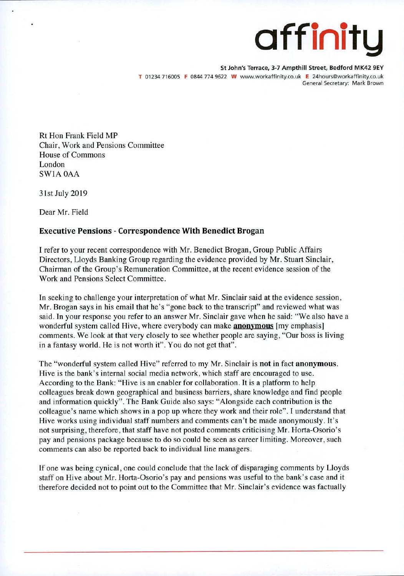## affinity

**St John's Terrace, 3-7 Ampthill Street, Bedford MK42 9EV**  T 01234 716005 F 0844 774 9622 W www.workaffinity.co.uk E 24hours@workaffinity.co.uk General Secretary: Mark Brown

Rt Hon Frank Field MP Chair, Work and Pensions Committee House of Commons London SW1A OAA

31st July 2019

Dear Mr. Field

## **Executive Pensions - Correspondence With Benedict Brogan**

I refer to your recent correspondence with Mr. Benedict Brogan, Group Public Affairs Directors, Lloyds Banking Group regarding the evidence provided by Mr. Stuart Sinclair, Chairman of the Group's Remuneration Committee, at the recent evidence session of the Work and Pensions Select Committee.

In seeking to challenge your interpretation of what Mr. Sinclair said at the evidence session, Mr. Brogan says in his email that he's "gone back to the transcript" and reviewed what was said. In your response you refer to an answer Mr. Sinclair gave when he said: "We also have a wonderful system called Hive, where everybody can make **anonymous** Imy emphasis <sup>I</sup> comments. We look at that very closely to see whether people are saying, "Our boss is living in a fantasy world. He is not worth it". You do not get that".

The "wonderful system called Hive" referred to my Mr. Sinclair is not in fact **anonymous.**  Hive is the bank's internal social media network, which staff are encouraged to use. According to the Bank: "Hive is an enabler for collaboration. It is a platform to help colleagues break down geographical and business barriers, share knowledge and find people and information quickly". The Bank Guide also says: "Alongside each contribution is the colleague's name which shows in a pop up where they work and their role". I understand that Hive works using individual staff numbers and comments can't be made anonymously. It's not surprising, therefore, that staff have not posted comments criticising Mr. Horta-Osorio's pay and pensions package because to do so could be seen as career limiting. Moreover, such comments can also be reported back to individual line managers.

If one was being cynical, one could conclude that the lack of disparaging comments by Lloyds staff on Hive about Mr. Horta-Osorio's pay and pensions was useful to the bank's case and it therefore decided not to point out to the Committee that Mr. Sinclair's evidence was factually